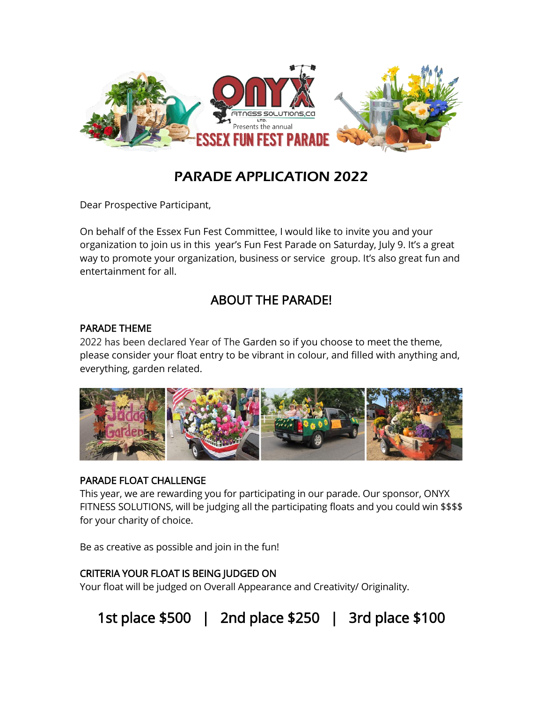

## PARADE APPLICATION 2022

Dear Prospective Participant,

On behalf of the Essex Fun Fest Committee, I would like to invite you and your organization to join us in this year's Fun Fest Parade on Saturday, July 9. It's a great way to promote your organization, business or service group. It's also great fun and entertainment for all.

## ABOUT THE PARADE!

### PARADE THEME

2022 has been declared Year of The Garden so if you choose to meet the theme, please consider your float entry to be vibrant in colour, and filled with anything and, everything, garden related.



### PARADE FLOAT CHALLENGE

This year, we are rewarding you for participating in our parade. Our sponsor, ONYX FITNESS SOLUTIONS, will be judging all the participating floats and you could win \$\$\$\$ for your charity of choice.

Be as creative as possible and join in the fun!

### CRITERIA YOUR FLOAT IS BEING JUDGED ON

Your float will be judged on Overall Appearance and Creativity/ Originality.

1st place \$500 | 2nd place \$250 | 3rd place \$100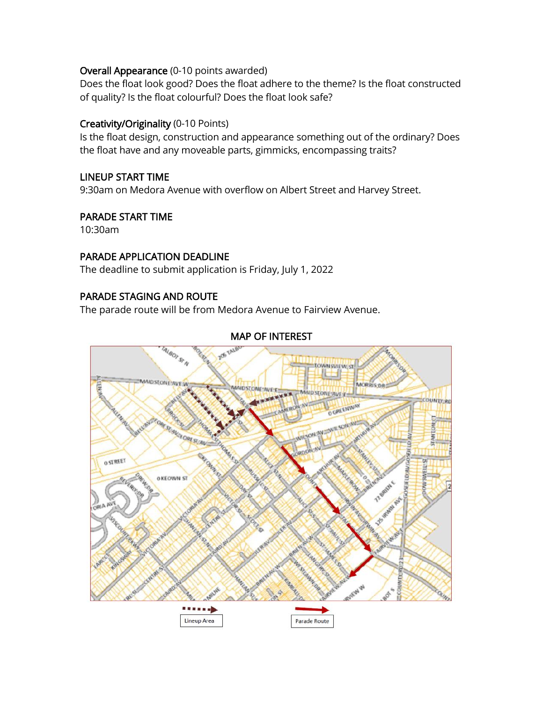#### Overall Appearance (0-10 points awarded)

Does the float look good? Does the float adhere to the theme? Is the float constructed of quality? Is the float colourful? Does the float look safe?

#### Creativity/Originality (0-10 Points)

Is the float design, construction and appearance something out of the ordinary? Does the float have and any moveable parts, gimmicks, encompassing traits?

#### LINEUP START TIME

9:30am on Medora Avenue with overflow on Albert Street and Harvey Street.

#### PARADE START TIME

10:30am

#### PARADE APPLICATION DEADLINE

The deadline to submit application is Friday, July 1, 2022

#### PARADE STAGING AND ROUTE

The parade route will be from Medora Avenue to Fairview Avenue.

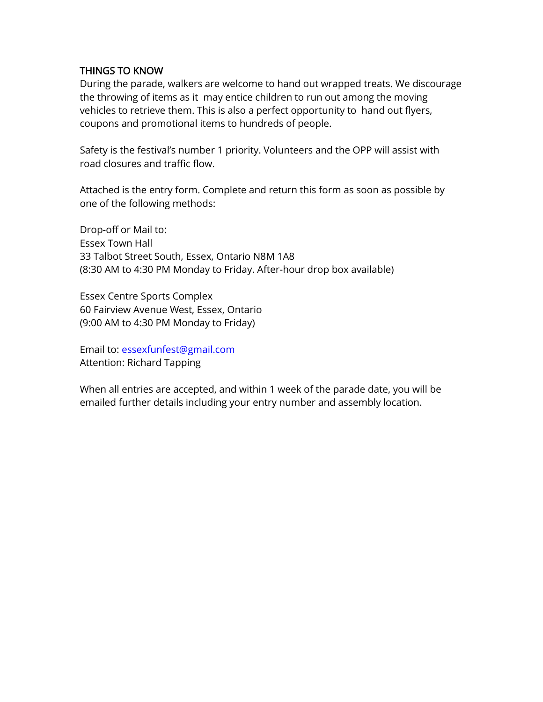#### THINGS TO KNOW

During the parade, walkers are welcome to hand out wrapped treats. We discourage the throwing of items as it may entice children to run out among the moving vehicles to retrieve them. This is also a perfect opportunity to hand out flyers, coupons and promotional items to hundreds of people.

Safety is the festival's number 1 priority. Volunteers and the OPP will assist with road closures and traffic flow.

Attached is the entry form. Complete and return this form as soon as possible by one of the following methods:

Drop-off or Mail to: Essex Town Hall 33 Talbot Street South, Essex, Ontario N8M 1A8 (8:30 AM to 4:30 PM Monday to Friday. After-hour drop box available)

Essex Centre Sports Complex 60 Fairview Avenue West, Essex, Ontario (9:00 AM to 4:30 PM Monday to Friday)

Email to: [essexfunfest@gmail.com](mailto:essexfunfest@gmail.com) Attention: Richard Tapping

When all entries are accepted, and within 1 week of the parade date, you will be emailed further details including your entry number and assembly location.